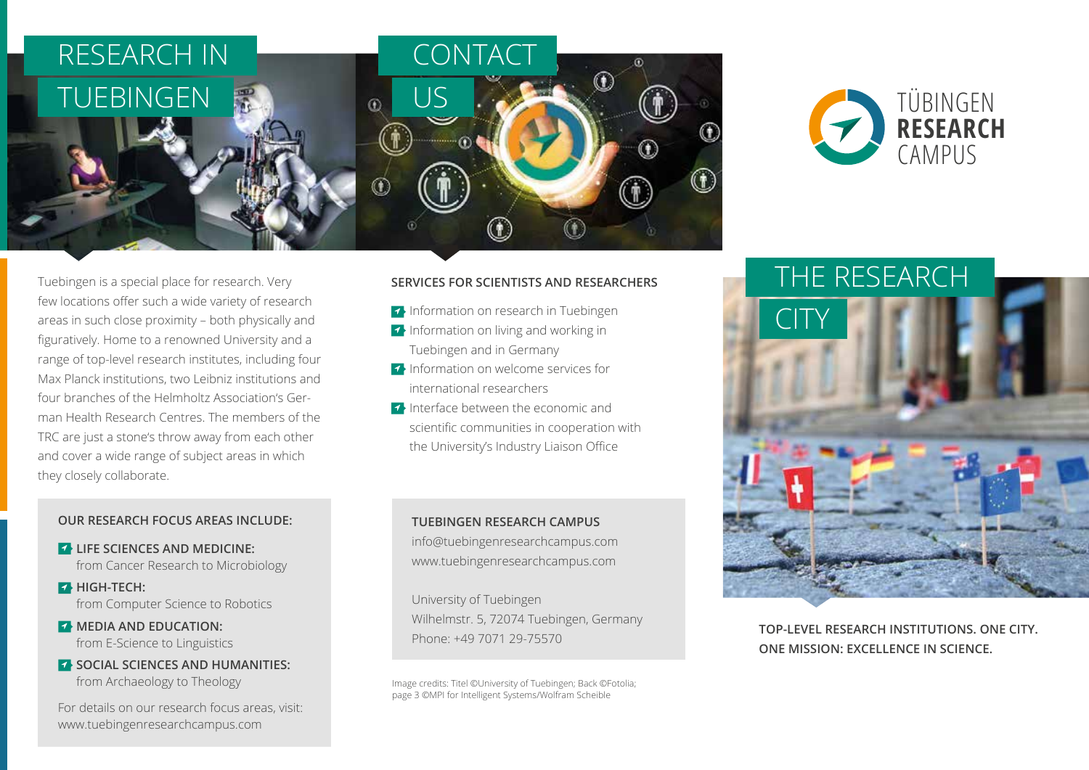

Tuebingen is a special place for research. Very few locations offer such a wide variety of research areas in such close proximity – both physically and figuratively. Home to a renowned University and a range of top-level research institutes, including four Max Planck institutions, two Leibniz institutions and four branches of the Helmholtz Association's German Health Research Centres. The members of the TRC are just a stone's throw away from each other and cover a wide range of subject areas in which they closely collaborate.

## **OUR RESEARCH FOCUS AREAS INCLUDE:**

**EXAMPLE SCIENCES AND MEDICINE:** from Cancer Research to Microbiology

**BHIGH-TECH:** from Computer Science to Robotics

- **MEDIA AND EDUCATION:** from E-Science to Linguistics
- **SOCIAL SCIENCES AND HUMANITIES:** from Archaeology to Theology

For details on our research focus areas, visit: www.tuebingenresearchcampus.com

### **SERVICES FOR SCIENTISTS AND RESEARCHERS**

- Information on research in Tuebingen
- **•** Information on living and working in Tuebingen and in Germany
- Information on welcome services for international researchers
- **Interface between the economic and** scientific communities in cooperation with the University's Industry Liaison Office

### **TUEBINGEN RESEARCH CAMPUS**

info@tuebingenresearchcampus.com www.tuebingenresearchcampus.com

University of Tuebingen Wilhelmstr. 5, 72074 Tuebingen, Germany Phone: +49 7071 29-75570

Image credits: Titel ©University of Tuebingen; Back ©Fotolia; page 3 ©MPI for Intelligent Systems/Wolfram Scheible



THE RESEARCH CITY

**TOP-LEVEL RESEARCH INSTITUTIONS. ONE CITY. ONE MISSION: EXCELLENCE IN SCIENCE.**